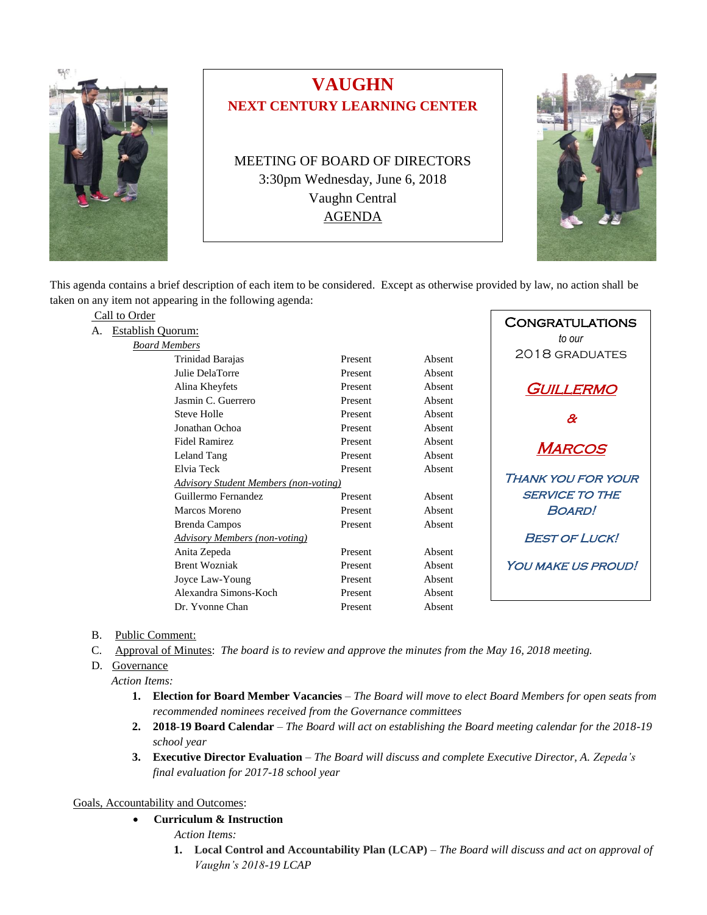

## **VAUGHN NEXT CENTURY LEARNING CENTER**

MEETING OF BOARD OF DIRECTORS 3:30pm Wednesday, June 6, 2018 Vaughn Central AGENDA



This agenda contains a brief description of each item to be considered. Except as otherwise provided by law, no action shall be taken on any item not appearing in the following agenda:

| Call to Order |                                              |                           |        | <b>CONGRATULATIONS</b>     |
|---------------|----------------------------------------------|---------------------------|--------|----------------------------|
|               | <b>Establish Quorum:</b>                     |                           |        | to our                     |
|               | <b>Board Members</b>                         |                           |        |                            |
|               | Trinidad Barajas                             | Present                   | Absent | 2018 GRADUATES             |
|               | Julie DelaTorre                              | Present                   | Absent |                            |
|               | Alina Kheyfets                               | Present                   | Absent | <b>GUILLERMO</b>           |
|               | Jasmin C. Guerrero                           | Present                   | Absent |                            |
|               | Steve Holle                                  | Present                   | Absent | $\boldsymbol{\mathcal{X}}$ |
|               | Jonathan Ochoa                               | Present                   | Absent |                            |
|               | <b>Fidel Ramirez</b>                         | Present                   | Absent | <b>MARCOS</b>              |
|               | Leland Tang                                  | Present                   | Absent |                            |
|               | Elvia Teck                                   | Present                   | Absent |                            |
|               | <b>Advisory Student Members (non-voting)</b> | <b>THANK YOU FOR YOUR</b> |        |                            |
|               | Guillermo Fernandez                          | Present                   | Absent | <b>SERVICE TO THE</b>      |
|               | Marcos Moreno                                | Present                   | Absent | <b>BOARD!</b>              |
|               | <b>Brenda Campos</b>                         | Present                   | Absent |                            |
|               | <b>Advisory Members (non-voting)</b>         | <b>BEST OF LUCK!</b>      |        |                            |
|               | Anita Zepeda                                 | Present                   | Absent |                            |
|               | <b>Brent Wozniak</b>                         | Present                   | Absent | <b>YOU MAKE US PROUD!</b>  |
|               | Joyce Law-Young                              | Present                   | Absent |                            |
|               | Alexandra Simons-Koch                        | Present                   | Absent |                            |
|               | Dr. Yvonne Chan                              | Present                   | Absent |                            |

- B. Public Comment:
- C. Approval of Minutes: *The board is to review and approve the minutes from the May 16, 2018 meeting.*
- D. Governance
	- *Action Items:*
		- **1. Election for Board Member Vacancies** *– The Board will move to elect Board Members for open seats from recommended nominees received from the Governance committees*
		- **2. 2018***-***19 Board Calendar** *The Board will act on establishing the Board meeting calendar for the 2018-19 school year*
		- **3. Executive Director Evaluation** *The Board will discuss and complete Executive Director, A. Zepeda's final evaluation for 2017-18 school year*

Goals, Accountability and Outcomes:

- **Curriculum & Instruction**
	- *Action Items:*
	- **1. Local Control and Accountability Plan (LCAP)** *The Board will discuss and act on approval of Vaughn's 2018-19 LCAP*